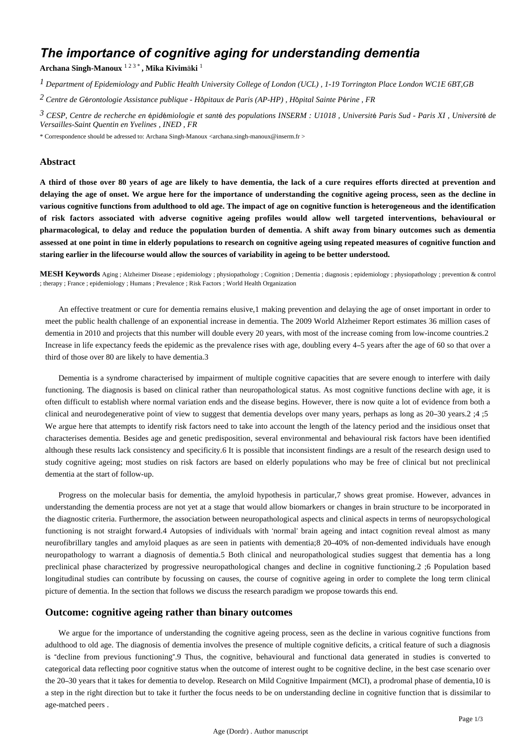# *The importance of cognitive aging for understanding dementia*

**Archana Singh-Manoux** 1 2 3 \* **, Mika Kivim**ä**ki** <sup>1</sup>

*Department of Epidemiology and Public Health 1 University College of London (UCL) , 1-19 Torrington Place London WC1E 6BT,GB*

*Centre de G rontologie 2* <sup>é</sup> *Assistance publique - H*ô*pitaux de Paris (AP-HP) , H*ô*pital Sainte P*é*rine , FR*

<sup>3</sup> CESP, Centre de recherche en épidémiologie et santé des populations INSERM : U1018 , Université Paris Sud - Paris XI , Université de *Versailles-Saint Quentin en Yvelines , INED , FR*

\* Correspondence should be adressed to: Archana Singh-Manoux <archana.singh-manoux@inserm.fr >

## **Abstract**

**A third of those over 80 years of age are likely to have dementia, the lack of a cure requires efforts directed at prevention and delaying the age of onset. We argue here for the importance of understanding the cognitive ageing process, seen as the decline in various cognitive functions from adulthood to old age. The impact of age on cognitive function is heterogeneous and the identification of risk factors associated with adverse cognitive ageing profiles would allow well targeted interventions, behavioural or pharmacological, to delay and reduce the population burden of dementia. A shift away from binary outcomes such as dementia assessed at one point in time in elderly populations to research on cognitive ageing using repeated measures of cognitive function and staring earlier in the lifecourse would allow the sources of variability in ageing to be better understood.**

**MESH Keywords** Aging ; Alzheimer Disease ; epidemiology ; physiopathology ; Cognition ; Dementia ; diagnosis ; epidemiology ; physiopathology ; prevention & control ; therapy ; France ; epidemiology ; Humans ; Prevalence ; Risk Factors ; World Health Organization

An effective treatment or cure for dementia remains elusive,1 making prevention and delaying the age of onset important in order to meet the public health challenge of an exponential increase in dementia. The 2009 World Alzheimer Report estimates 36 million cases of dementia in 2010 and projects that this number will double every 20 years, with most of the increase coming from low-income countries.2 Increase in life expectancy feeds the epidemic as the prevalence rises with age, doubling every 4–5 years after the age of 60 so that over a third of those over 80 are likely to have dementia.3

Dementia is a syndrome characterised by impairment of multiple cognitive capacities that are severe enough to interfere with daily functioning. The diagnosis is based on clinical rather than neuropathological status. As most cognitive functions decline with age, it is often difficult to establish where normal variation ends and the disease begins. However, there is now quite a lot of evidence from both a clinical and neurodegenerative point of view to suggest that dementia develops over many years, perhaps as long as 20–30 years.2 ;4 ;5 We argue here that attempts to identify risk factors need to take into account the length of the latency period and the insidious onset that characterises dementia. Besides age and genetic predisposition, several environmental and behavioural risk factors have been identified although these results lack consistency and specificity.6 It is possible that inconsistent findings are a result of the research design used to study cognitive ageing; most studies on risk factors are based on elderly populations who may be free of clinical but not preclinical dementia at the start of follow-up.

Progress on the molecular basis for dementia, the amyloid hypothesis in particular,7 shows great promise. However, advances in understanding the dementia process are not yet at a stage that would allow biomarkers or changes in brain structure to be incorporated in the diagnostic criteria. Furthermore, the association between neuropathological aspects and clinical aspects in terms of neuropsychological functioning is not straight forward.4 Autopsies of individuals with 'normal' brain ageing and intact cognition reveal almost as many neurofibrillary tangles and amyloid plaques as are seen in patients with dementia;8 20–40% of non-demented individuals have enough neuropathology to warrant a diagnosis of dementia.5 Both clinical and neuropathological studies suggest that dementia has a long preclinical phase characterized by progressive neuropathological changes and decline in cognitive functioning.2 ;6 Population based longitudinal studies can contribute by focussing on causes, the course of cognitive ageing in order to complete the long term clinical picture of dementia. In the section that follows we discuss the research paradigm we propose towards this end.

### **Outcome: cognitive ageing rather than binary outcomes**

We argue for the importance of understanding the cognitive ageing process, seen as the decline in various cognitive functions from adulthood to old age. The diagnosis of dementia involves the presence of multiple cognitive deficits, a critical feature of such a diagnosis is "decline from previous functioning".9 Thus, the cognitive, behavioural and functional data generated in studies is converted to categorical data reflecting poor cognitive status when the outcome of interest ought to be cognitive decline, in the best case scenario over the 20–30 years that it takes for dementia to develop. Research on Mild Cognitive Impairment (MCI), a prodromal phase of dementia,10 is a step in the right direction but to take it further the focus needs to be on understanding decline in cognitive function that is dissimilar to age-matched peers .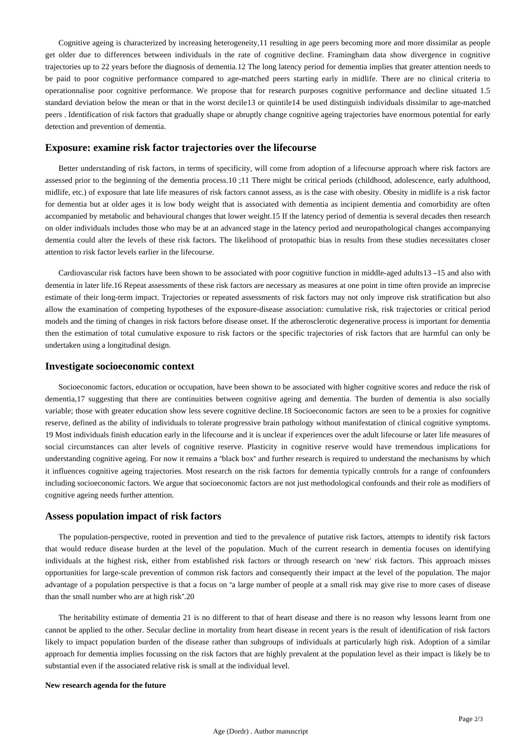Cognitive ageing is characterized by increasing heterogeneity,11 resulting in age peers becoming more and more dissimilar as people get older due to differences between individuals in the rate of cognitive decline. Framingham data show divergence in cognitive trajectories up to 22 years before the diagnosis of dementia.12 The long latency period for dementia implies that greater attention needs to be paid to poor cognitive performance compared to age-matched peers starting early in midlife. There are no clinical criteria to operationnalise poor cognitive performance. We propose that for research purposes cognitive performance and decline situated 1.5 standard deviation below the mean or that in the worst decile13 or quintile14 be used distinguish individuals dissimilar to age-matched peers . Identification of risk factors that gradually shape or abruptly change cognitive ageing trajectories have enormous potential for early detection and prevention of dementia.

### **Exposure: examine risk factor trajectories over the lifecourse**

Better understanding of risk factors, in terms of specificity, will come from adoption of a lifecourse approach where risk factors are assessed prior to the beginning of the dementia process.10 ;11 There might be critical periods (childhood, adolescence, early adulthood, midlife, etc.) of exposure that late life measures of risk factors cannot assess, as is the case with obesity. Obesity in midlife is a risk factor for dementia but at older ages it is low body weight that is associated with dementia as incipient dementia and comorbidity are often accompanied by metabolic and behavioural changes that lower weight.15 If the latency period of dementia is several decades then research on older individuals includes those who may be at an advanced stage in the latency period and neuropathological changes accompanying dementia could alter the levels of these risk factors. The likelihood of protopathic bias in results from these studies necessitates closer attention to risk factor levels earlier in the lifecourse.

Cardiovascular risk factors have been shown to be associated with poor cognitive function in middle-aged adults13 –15 and also with dementia in later life.16 Repeat assessments of these risk factors are necessary as measures at one point in time often provide an imprecise estimate of their long-term impact. Trajectories or repeated assessments of risk factors may not only improve risk stratification but also allow the examination of competing hypotheses of the exposure-disease association: cumulative risk, risk trajectories or critical period models and the timing of changes in risk factors before disease onset. If the atherosclerotic degenerative process is important for dementia then the estimation of total cumulative exposure to risk factors or the specific trajectories of risk factors that are harmful can only be undertaken using a longitudinal design.

### **Investigate socioeconomic context**

Socioeconomic factors, education or occupation, have been shown to be associated with higher cognitive scores and reduce the risk of dementia,17 suggesting that there are continuities between cognitive ageing and dementia. The burden of dementia is also socially variable; those with greater education show less severe cognitive decline.18 Socioeconomic factors are seen to be a proxies for cognitive reserve, defined as the ability of individuals to tolerate progressive brain pathology without manifestation of clinical cognitive symptoms. 19 Most individuals finish education early in the lifecourse and it is unclear if experiences over the adult lifecourse or later life measures of social circumstances can alter levels of cognitive reserve. Plasticity in cognitive reserve would have tremendous implications for understanding cognitive ageing. For now it remains a "black box" and further research is required to understand the mechanisms by which it influences cognitive ageing trajectories. Most research on the risk factors for dementia typically controls for a range of confounders including socioeconomic factors. We argue that socioeconomic factors are not just methodological confounds and their role as modifiers of cognitive ageing needs further attention.

#### **Assess population impact of risk factors**

The population-perspective, rooted in prevention and tied to the prevalence of putative risk factors, attempts to identify risk factors that would reduce disease burden at the level of the population. Much of the current research in dementia focuses on identifying individuals at the highest risk, either from established risk factors or through research on 'new' risk factors. This approach misses opportunities for large-scale prevention of common risk factors and consequently their impact at the level of the population. The major advantage of a population perspective is that a focus on "a large number of people at a small risk may give rise to more cases of disease than the small number who are at high risk".20

The heritability estimate of dementia 21 is no different to that of heart disease and there is no reason why lessons learnt from one cannot be applied to the other. Secular decline in mortality from heart disease in recent years is the result of identification of risk factors likely to impact population burden of the disease rather than subgroups of individuals at particularly high risk. Adoption of a similar approach for dementia implies focussing on the risk factors that are highly prevalent at the population level as their impact is likely be to substantial even if the associated relative risk is small at the individual level.

#### **New research agenda for the future**